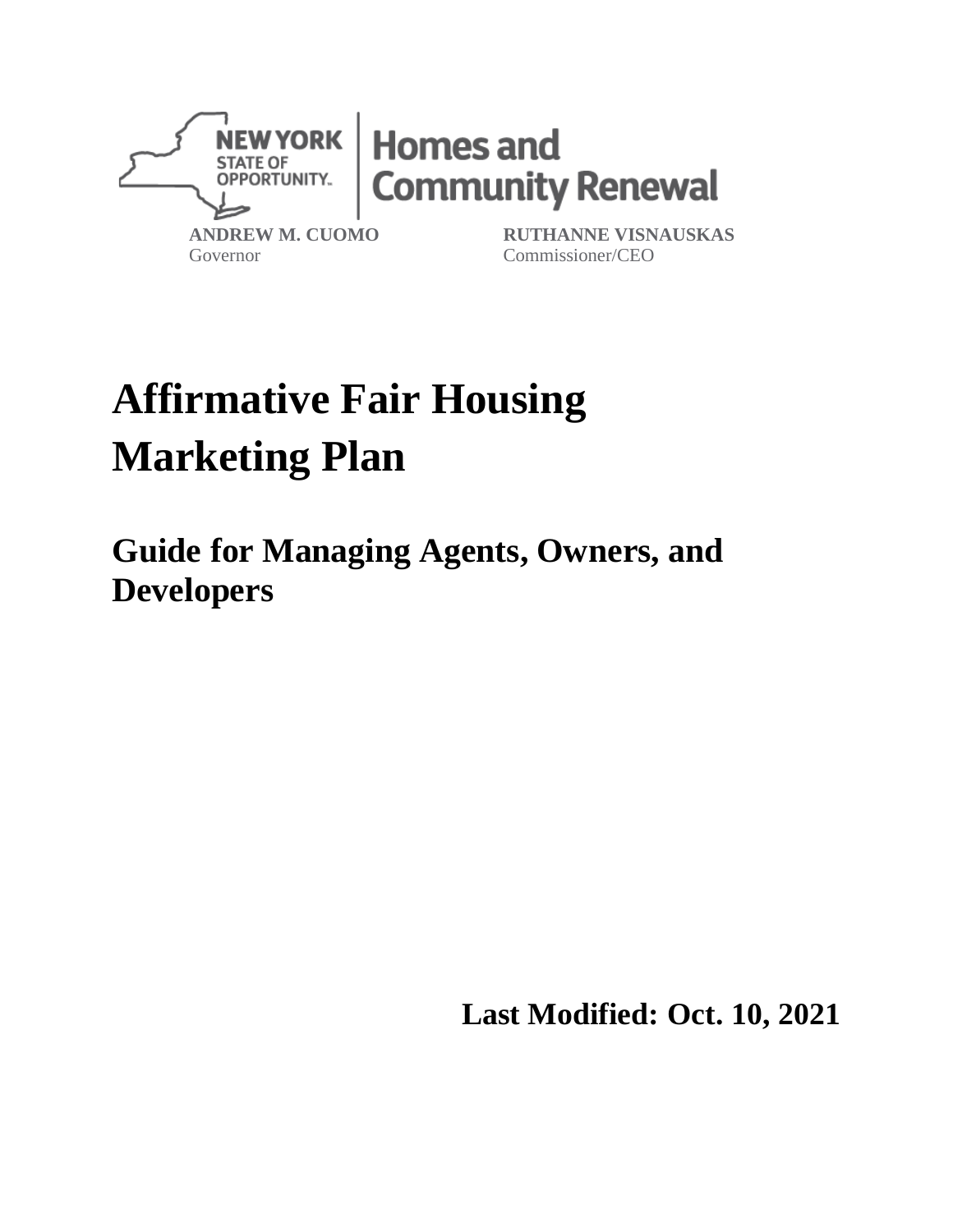

Governor

Commissioner/CEO

# **Affirmative Fair Housing Marketing Plan**

**Guide for Managing Agents, Owners, and Developers**

**Last Modified: Oct. 10, 2021**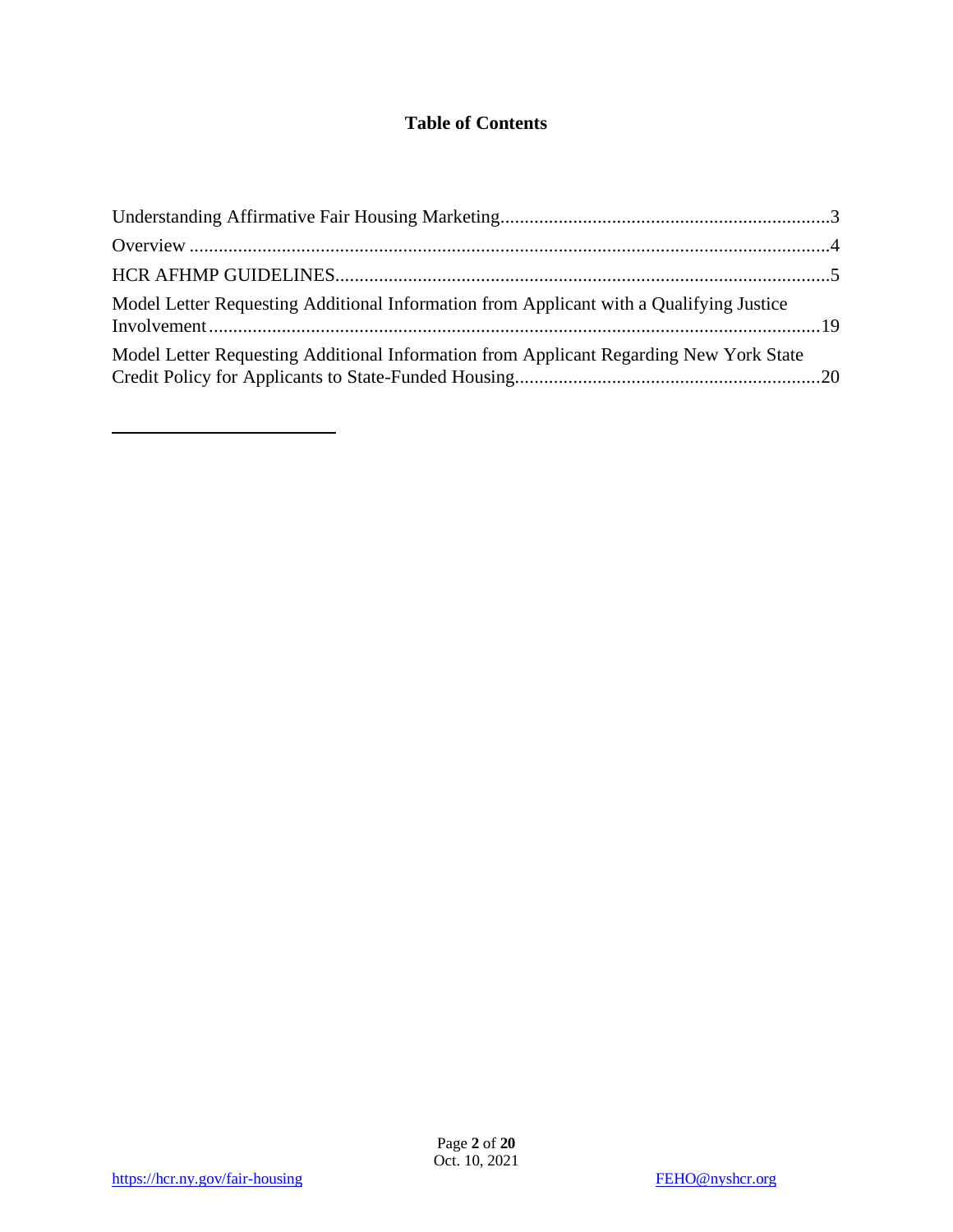## **Table of Contents**

| Model Letter Requesting Additional Information from Applicant with a Qualifying Justice |  |
|-----------------------------------------------------------------------------------------|--|
| Model Letter Requesting Additional Information from Applicant Regarding New York State  |  |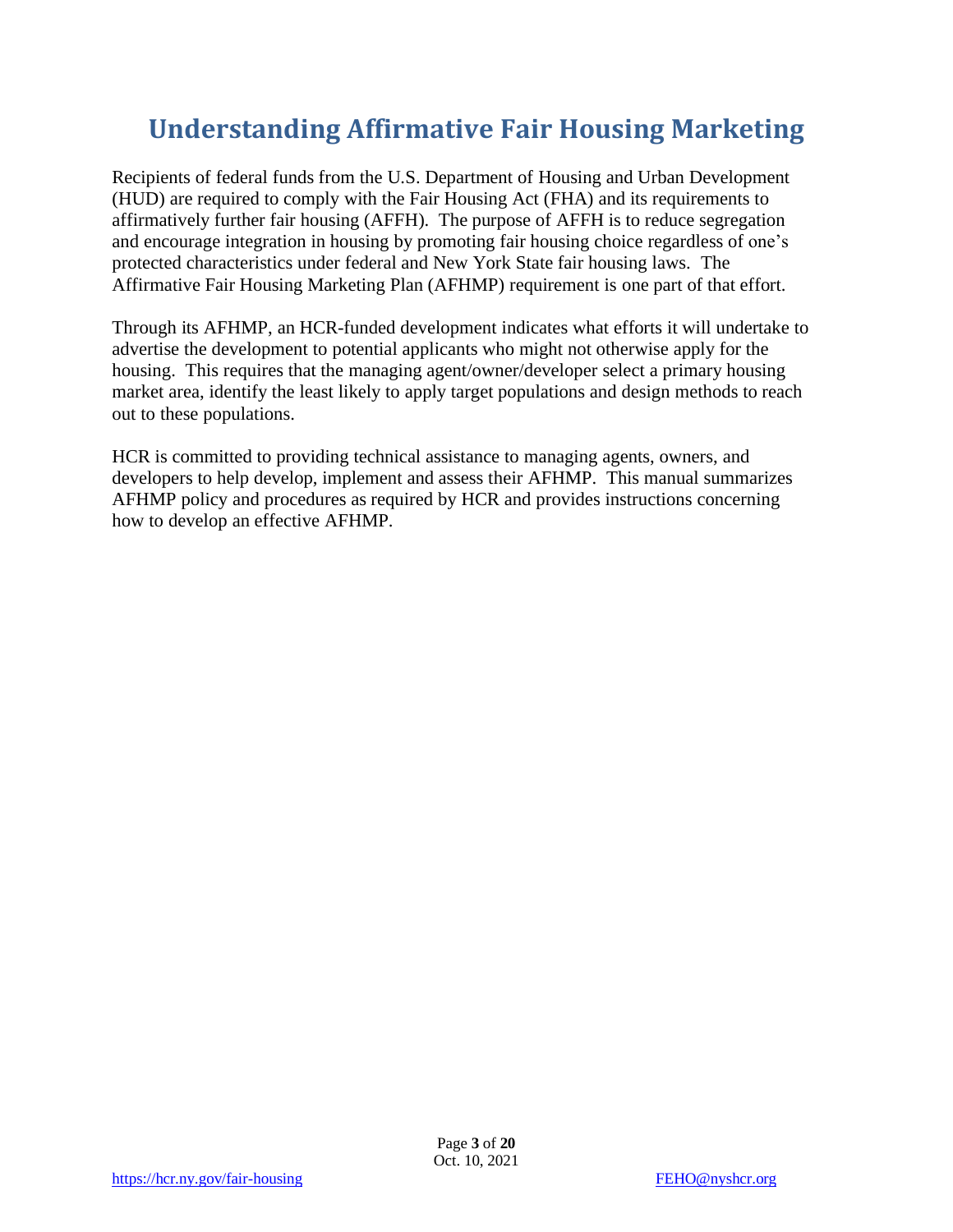# <span id="page-2-0"></span>**Understanding Affirmative Fair Housing Marketing**

Recipients of federal funds from the U.S. Department of Housing and Urban Development (HUD) are required to comply with the Fair Housing Act (FHA) and its requirements to affirmatively further fair housing (AFFH). The purpose of AFFH is to reduce segregation and encourage integration in housing by promoting fair housing choice regardless of one's protected characteristics under federal and New York State fair housing laws. The Affirmative Fair Housing Marketing Plan (AFHMP) requirement is one part of that effort.

Through its AFHMP, an HCR-funded development indicates what efforts it will undertake to advertise the development to potential applicants who might not otherwise apply for the housing. This requires that the managing agent/owner/developer select a primary housing market area, identify the least likely to apply target populations and design methods to reach out to these populations.

HCR is committed to providing technical assistance to managing agents, owners, and developers to help develop, implement and assess their AFHMP. This manual summarizes AFHMP policy and procedures as required by HCR and provides instructions concerning how to develop an effective AFHMP.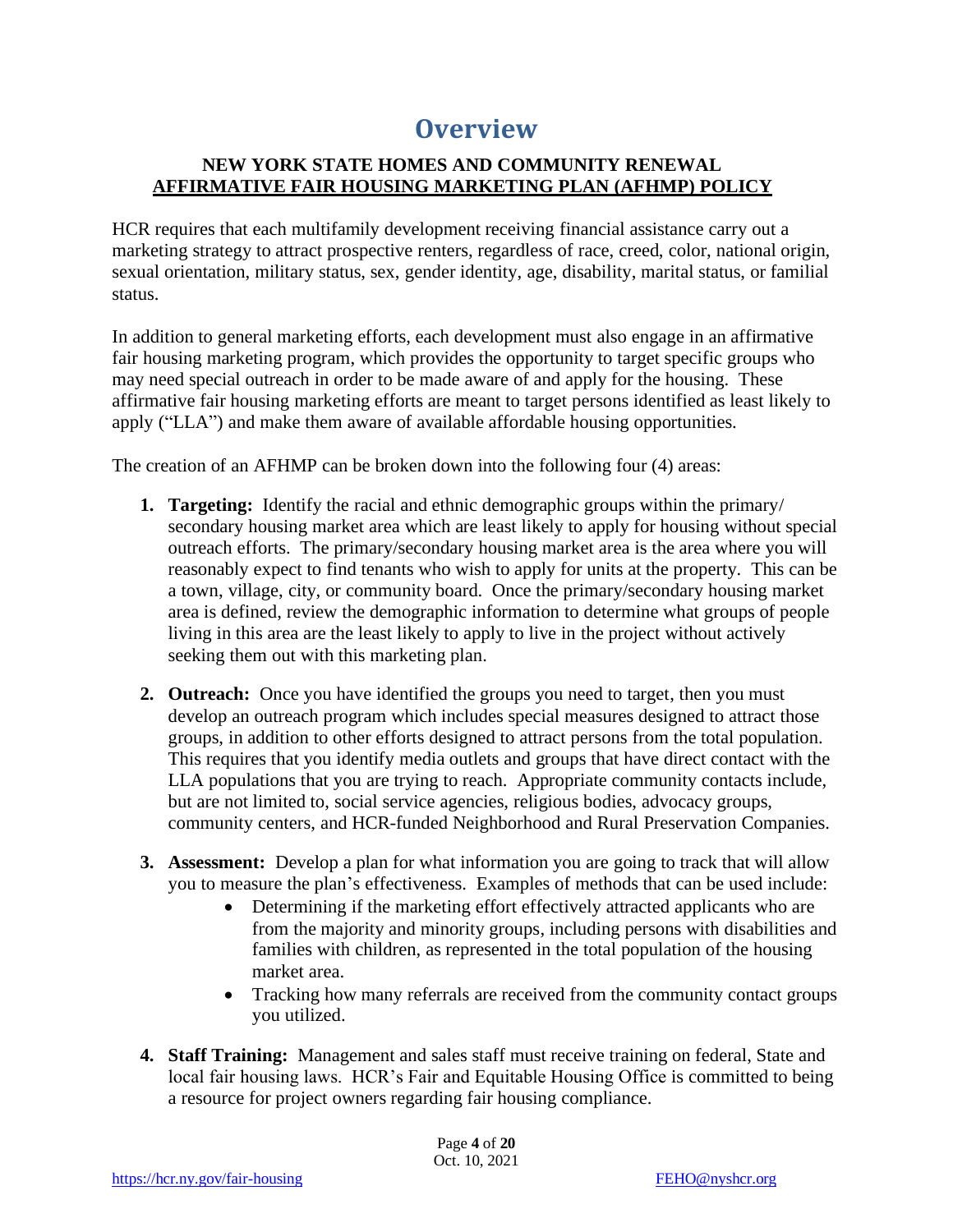# **Overview**

#### <span id="page-3-0"></span>**NEW YORK STATE HOMES AND COMMUNITY RENEWAL AFFIRMATIVE FAIR HOUSING MARKETING PLAN (AFHMP) POLICY**

HCR requires that each multifamily development receiving financial assistance carry out a marketing strategy to attract prospective renters, regardless of race, creed, color, national origin, sexual orientation, military status, sex, gender identity, age, disability, marital status, or familial status.

In addition to general marketing efforts, each development must also engage in an affirmative fair housing marketing program, which provides the opportunity to target specific groups who may need special outreach in order to be made aware of and apply for the housing. These affirmative fair housing marketing efforts are meant to target persons identified as least likely to apply ("LLA") and make them aware of available affordable housing opportunities.

The creation of an AFHMP can be broken down into the following four (4) areas:

- **1. Targeting:** Identify the racial and ethnic demographic groups within the primary/ secondary housing market area which are least likely to apply for housing without special outreach efforts. The primary/secondary housing market area is the area where you will reasonably expect to find tenants who wish to apply for units at the property. This can be a town, village, city, or community board. Once the primary/secondary housing market area is defined, review the demographic information to determine what groups of people living in this area are the least likely to apply to live in the project without actively seeking them out with this marketing plan.
- **2. Outreach:** Once you have identified the groups you need to target, then you must develop an outreach program which includes special measures designed to attract those groups, in addition to other efforts designed to attract persons from the total population. This requires that you identify media outlets and groups that have direct contact with the LLA populations that you are trying to reach. Appropriate community contacts include, but are not limited to, social service agencies, religious bodies, advocacy groups, community centers, and HCR-funded Neighborhood and Rural Preservation Companies.
- **3. Assessment:** Develop a plan for what information you are going to track that will allow you to measure the plan's effectiveness. Examples of methods that can be used include:
	- Determining if the marketing effort effectively attracted applicants who are from the majority and minority groups, including persons with disabilities and families with children, as represented in the total population of the housing market area.
	- Tracking how many referrals are received from the community contact groups you utilized.
- **4. Staff Training:** Management and sales staff must receive training on federal, State and local fair housing laws. HCR's Fair and Equitable Housing Office is committed to being a resource for project owners regarding fair housing compliance.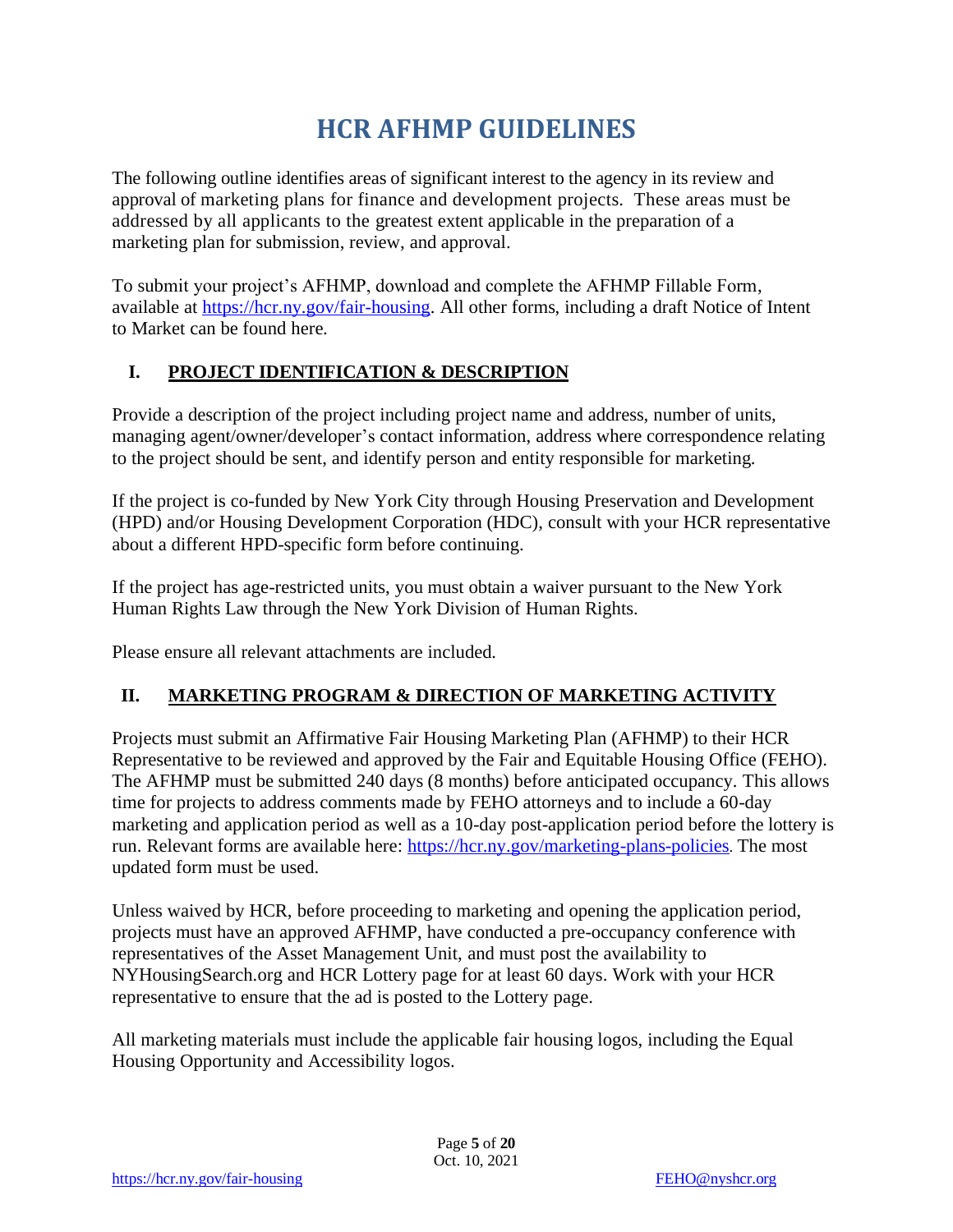# **HCR AFHMP GUIDELINES**

<span id="page-4-0"></span>The following outline identifies areas of significant interest to the agency in its review and approval of marketing plans for finance and development projects. These areas must be addressed by all applicants to the greatest extent applicable in the preparation of a marketing plan for submission, review, and approval.

To submit your project's AFHMP, download and complete the AFHMP Fillable Form, available at [https://hcr.ny.gov/fair-housing.](https://hcr.ny.gov/fair-housing) All other forms, including a draft Notice of Intent to Market can be found here.

#### **I. PROJECT IDENTIFICATION & DESCRIPTION**

Provide a description of the project including project name and address, number of units, managing agent/owner/developer's contact information, address where correspondence relating to the project should be sent, and identify person and entity responsible for marketing.

If the project is co-funded by New York City through Housing Preservation and Development (HPD) and/or Housing Development Corporation (HDC), consult with your HCR representative about a different HPD-specific form before continuing.

If the project has age-restricted units, you must obtain a waiver pursuant to the New York Human Rights Law through the New York Division of Human Rights.

Please ensure all relevant attachments are included.

#### **II. MARKETING PROGRAM & DIRECTION OF MARKETING ACTIVITY**

Projects must submit an Affirmative Fair Housing Marketing Plan (AFHMP) to their HCR Representative to be reviewed and approved by the Fair and Equitable Housing Office (FEHO). The AFHMP must be submitted 240 days (8 months) before anticipated occupancy. This allows time for projects to address comments made by FEHO attorneys and to include a 60-day marketing and application period as well as a 10-day post-application period before the lottery is run. Relevant forms are available here:<https://hcr.ny.gov/marketing-plans-policies>. The most updated form must be used.

Unless waived by HCR, before proceeding to marketing and opening the application period, projects must have an approved AFHMP, have conducted a pre-occupancy conference with representatives of the Asset Management Unit, and must post the availability to NYHousingSearch.org and HCR Lottery page for at least 60 days. Work with your HCR representative to ensure that the ad is posted to the Lottery page.

All marketing materials must include the applicable fair housing logos, including the Equal Housing Opportunity and Accessibility logos.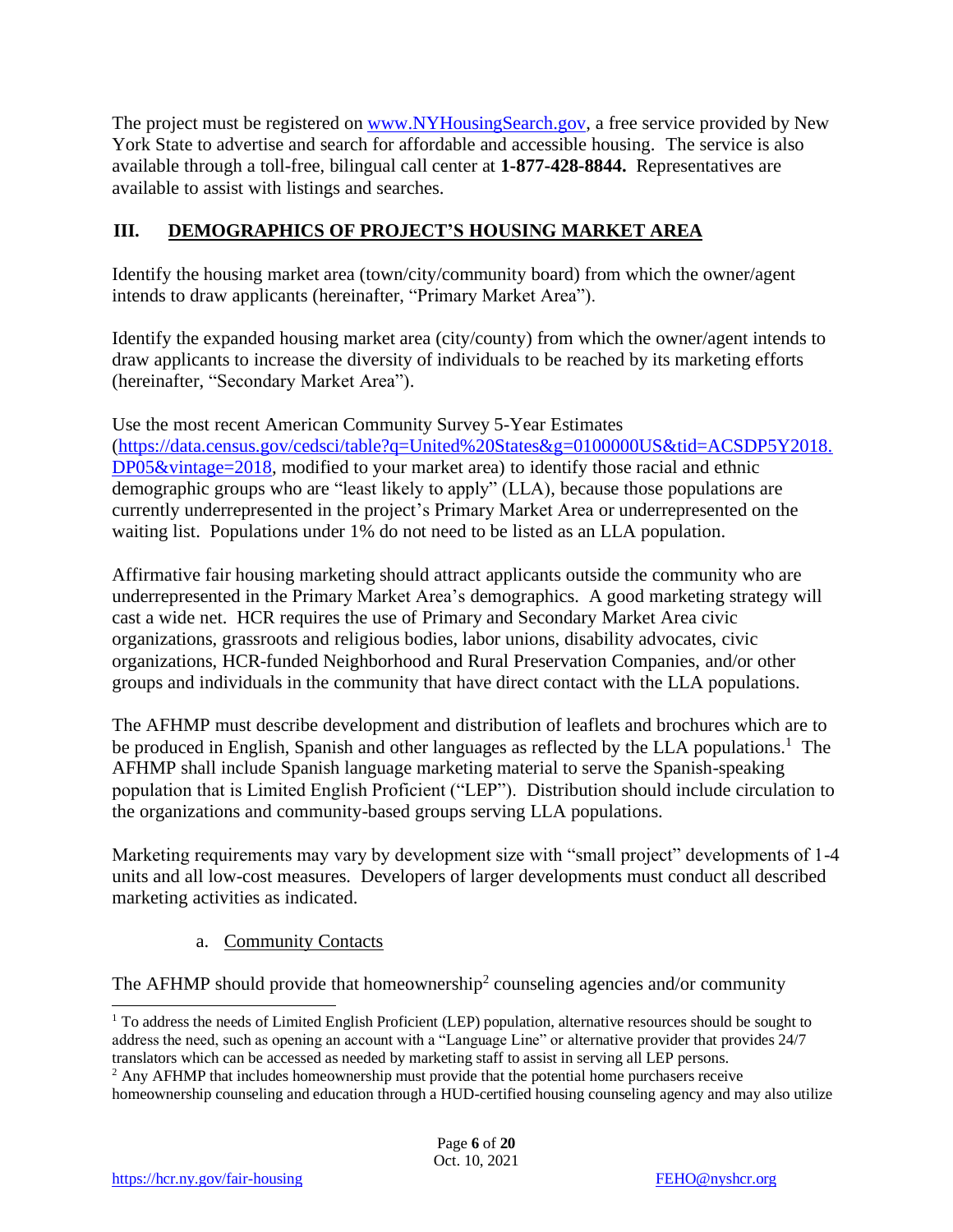The project must be registered on [www.NYHousingSearch.gov,](http://www.nyhousingsearch.gov/) a free service provided by New York State to advertise and search for affordable and accessible housing. The service is also available through a toll-free, bilingual call center at **1-877-428-8844.** Representatives are available to assist with listings and searches.

#### **III. DEMOGRAPHICS OF PROJECT'S HOUSING MARKET AREA**

Identify the housing market area (town/city/community board) from which the owner/agent intends to draw applicants (hereinafter, "Primary Market Area").

Identify the expanded housing market area (city/county) from which the owner/agent intends to draw applicants to increase the diversity of individuals to be reached by its marketing efforts (hereinafter, "Secondary Market Area").

Use the most recent American Community Survey 5-Year Estimates [\(https://data.census.gov/cedsci/table?q=United%20States&g=0100000US&tid=ACSDP5Y2018.](https://data.census.gov/cedsci/table?q=United%20States&g=0100000US&tid=ACSDP5Y2018.DP05&vintage=2018) [DP05&vintage=2018,](https://data.census.gov/cedsci/table?q=United%20States&g=0100000US&tid=ACSDP5Y2018.DP05&vintage=2018) modified to your market area) to identify those racial and ethnic demographic groups who are "least likely to apply" (LLA), because those populations are currently underrepresented in the project's Primary Market Area or underrepresented on the waiting list. Populations under 1% do not need to be listed as an LLA population.

Affirmative fair housing marketing should attract applicants outside the community who are underrepresented in the Primary Market Area's demographics. A good marketing strategy will cast a wide net. HCR requires the use of Primary and Secondary Market Area civic organizations, grassroots and religious bodies, labor unions, disability advocates, civic organizations, HCR-funded Neighborhood and Rural Preservation Companies, and/or other groups and individuals in the community that have direct contact with the LLA populations.

The AFHMP must describe development and distribution of leaflets and brochures which are to be produced in English, Spanish and other languages as reflected by the LLA populations.<sup>1</sup> The AFHMP shall include Spanish language marketing material to serve the Spanish-speaking population that is Limited English Proficient ("LEP"). Distribution should include circulation to the organizations and community-based groups serving LLA populations.

Marketing requirements may vary by development size with "small project" developments of 1-4 units and all low-cost measures. Developers of larger developments must conduct all described marketing activities as indicated.

a. Community Contacts

The AFHMP should provide that homeownership<sup>2</sup> counseling agencies and/or community

<sup>&</sup>lt;sup>1</sup> To address the needs of Limited English Proficient (LEP) population, alternative resources should be sought to address the need, such as opening an account with a "Language Line" or alternative provider that provides 24/7 translators which can be accessed as needed by marketing staff to assist in serving all LEP persons.

<sup>&</sup>lt;sup>2</sup> Any AFHMP that includes homeownership must provide that the potential home purchasers receive

homeownership counseling and education through a HUD-certified housing counseling agency and may also utilize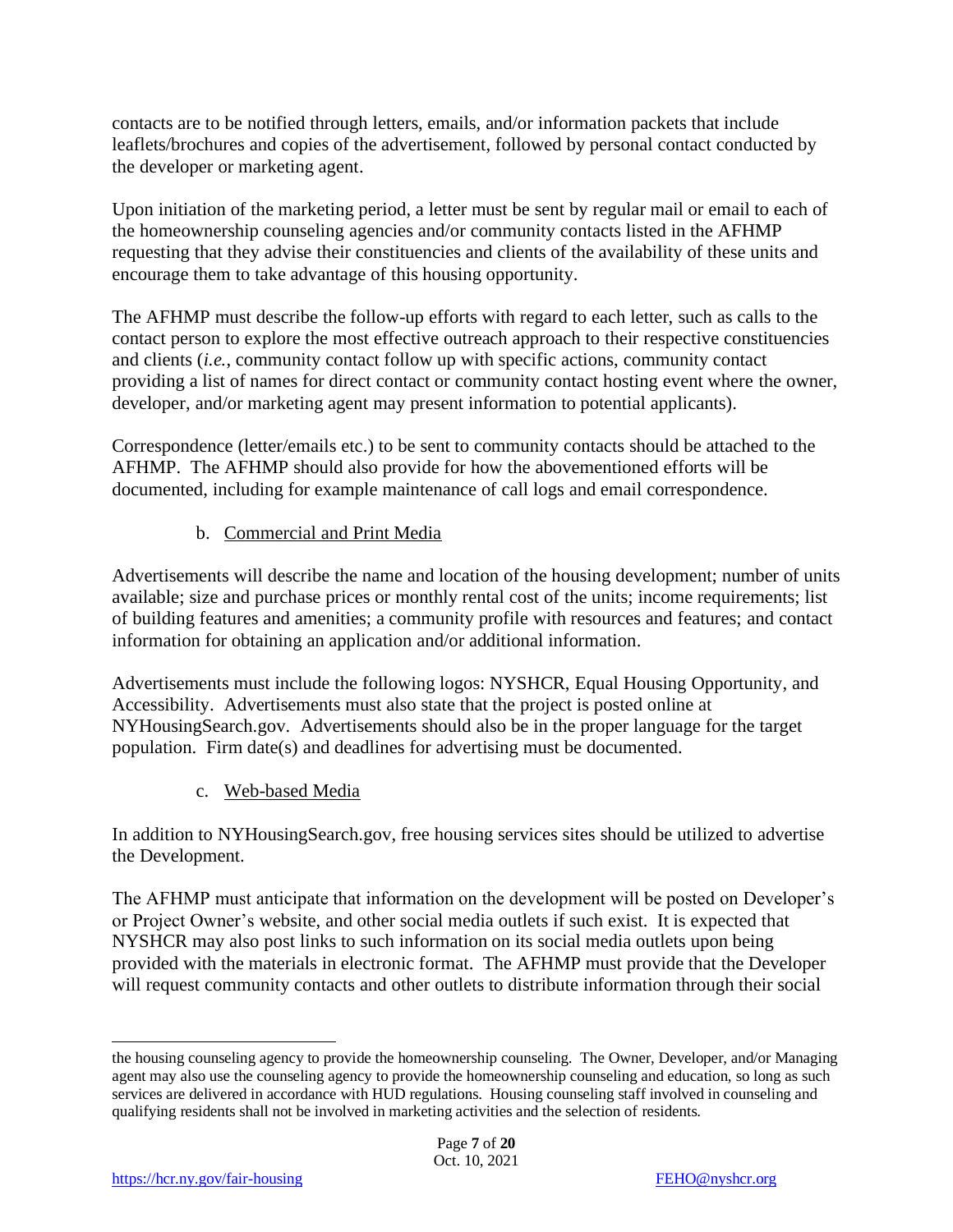contacts are to be notified through letters, emails, and/or information packets that include leaflets/brochures and copies of the advertisement, followed by personal contact conducted by the developer or marketing agent.

Upon initiation of the marketing period, a letter must be sent by regular mail or email to each of the homeownership counseling agencies and/or community contacts listed in the AFHMP requesting that they advise their constituencies and clients of the availability of these units and encourage them to take advantage of this housing opportunity.

The AFHMP must describe the follow-up efforts with regard to each letter, such as calls to the contact person to explore the most effective outreach approach to their respective constituencies and clients (*i.e.*, community contact follow up with specific actions, community contact providing a list of names for direct contact or community contact hosting event where the owner, developer, and/or marketing agent may present information to potential applicants).

Correspondence (letter/emails etc.) to be sent to community contacts should be attached to the AFHMP. The AFHMP should also provide for how the abovementioned efforts will be documented, including for example maintenance of call logs and email correspondence.

#### b. Commercial and Print Media

Advertisements will describe the name and location of the housing development; number of units available; size and purchase prices or monthly rental cost of the units; income requirements; list of building features and amenities; a community profile with resources and features; and contact information for obtaining an application and/or additional information.

Advertisements must include the following logos: NYSHCR, Equal Housing Opportunity, and Accessibility. Advertisements must also state that the project is posted online at NYHousingSearch.gov. Advertisements should also be in the proper language for the target population. Firm date(s) and deadlines for advertising must be documented.

c. Web-based Media

In addition to NYHousingSearch.gov, free housing services sites should be utilized to advertise the Development.

The AFHMP must anticipate that information on the development will be posted on Developer's or Project Owner's website, and other social media outlets if such exist. It is expected that NYSHCR may also post links to such information on its social media outlets upon being provided with the materials in electronic format. The AFHMP must provide that the Developer will request community contacts and other outlets to distribute information through their social

the housing counseling agency to provide the homeownership counseling. The Owner, Developer, and/or Managing agent may also use the counseling agency to provide the homeownership counseling and education, so long as such services are delivered in accordance with HUD regulations. Housing counseling staff involved in counseling and qualifying residents shall not be involved in marketing activities and the selection of residents.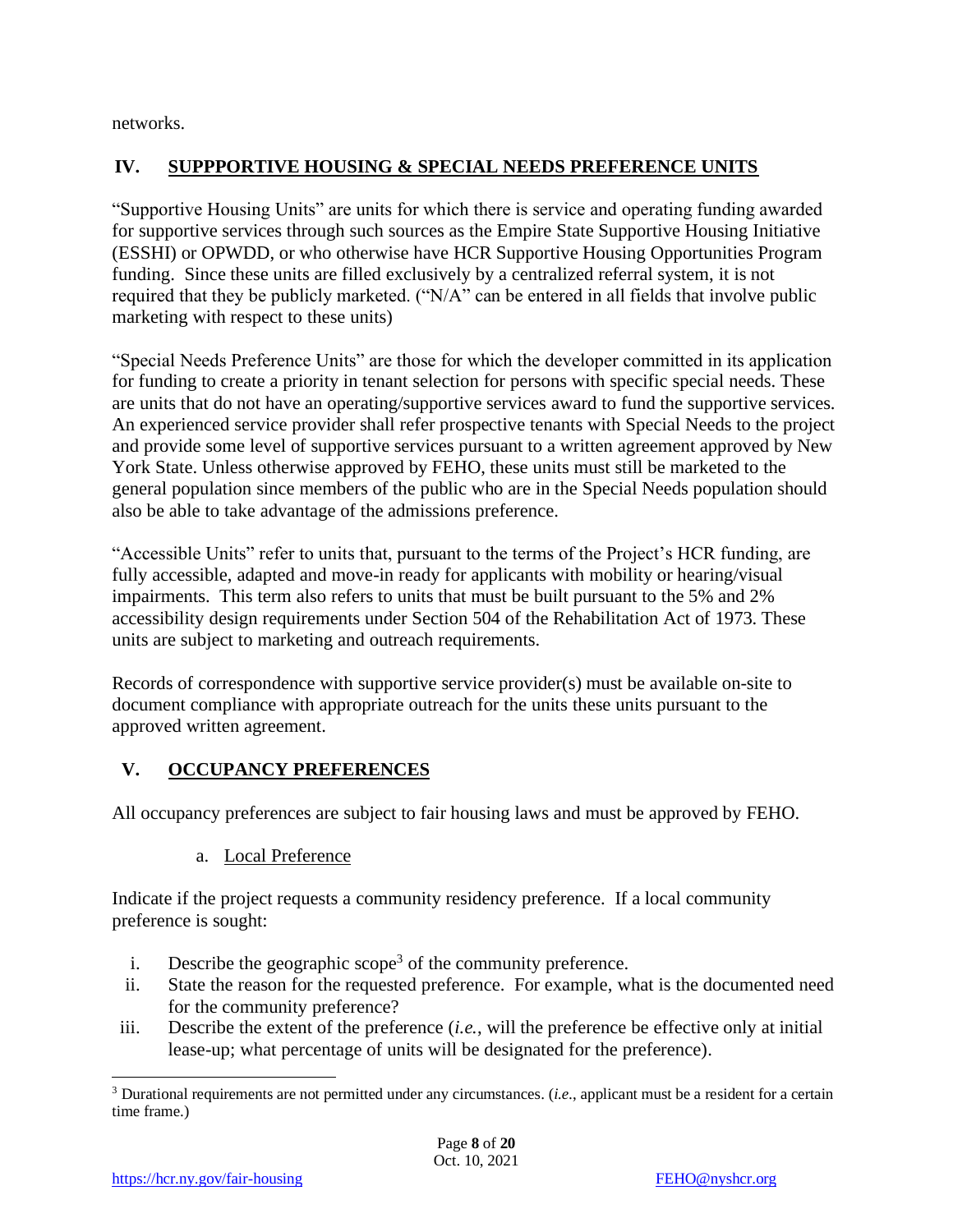networks.

## **IV. SUPPPORTIVE HOUSING & SPECIAL NEEDS PREFERENCE UNITS**

"Supportive Housing Units" are units for which there is service and operating funding awarded for supportive services through such sources as the Empire State Supportive Housing Initiative (ESSHI) or OPWDD, or who otherwise have HCR Supportive Housing Opportunities Program funding. Since these units are filled exclusively by a centralized referral system, it is not required that they be publicly marketed. ("N/A" can be entered in all fields that involve public marketing with respect to these units)

"Special Needs Preference Units" are those for which the developer committed in its application for funding to create a priority in tenant selection for persons with specific special needs. These are units that do not have an operating/supportive services award to fund the supportive services. An experienced service provider shall refer prospective tenants with Special Needs to the project and provide some level of supportive services pursuant to a written agreement approved by New York State. Unless otherwise approved by FEHO, these units must still be marketed to the general population since members of the public who are in the Special Needs population should also be able to take advantage of the admissions preference.

"Accessible Units" refer to units that, pursuant to the terms of the Project's HCR funding, are fully accessible, adapted and move-in ready for applicants with mobility or hearing/visual impairments. This term also refers to units that must be built pursuant to the 5% and 2% accessibility design requirements under Section 504 of the Rehabilitation Act of 1973. These units are subject to marketing and outreach requirements.

Records of correspondence with supportive service provider(s) must be available on-site to document compliance with appropriate outreach for the units these units pursuant to the approved written agreement.

## **V. OCCUPANCY PREFERENCES**

All occupancy preferences are subject to fair housing laws and must be approved by FEHO.

a. Local Preference

Indicate if the project requests a community residency preference. If a local community preference is sought:

- i. Describe the geographic scope<sup>3</sup> of the community preference.
- ii. State the reason for the requested preference. For example, what is the documented need for the community preference?
- iii. Describe the extent of the preference (*i.e.*, will the preference be effective only at initial lease-up; what percentage of units will be designated for the preference).

<sup>&</sup>lt;sup>3</sup> Durational requirements are not permitted under any circumstances. (*i.e.*, applicant must be a resident for a certain time frame.)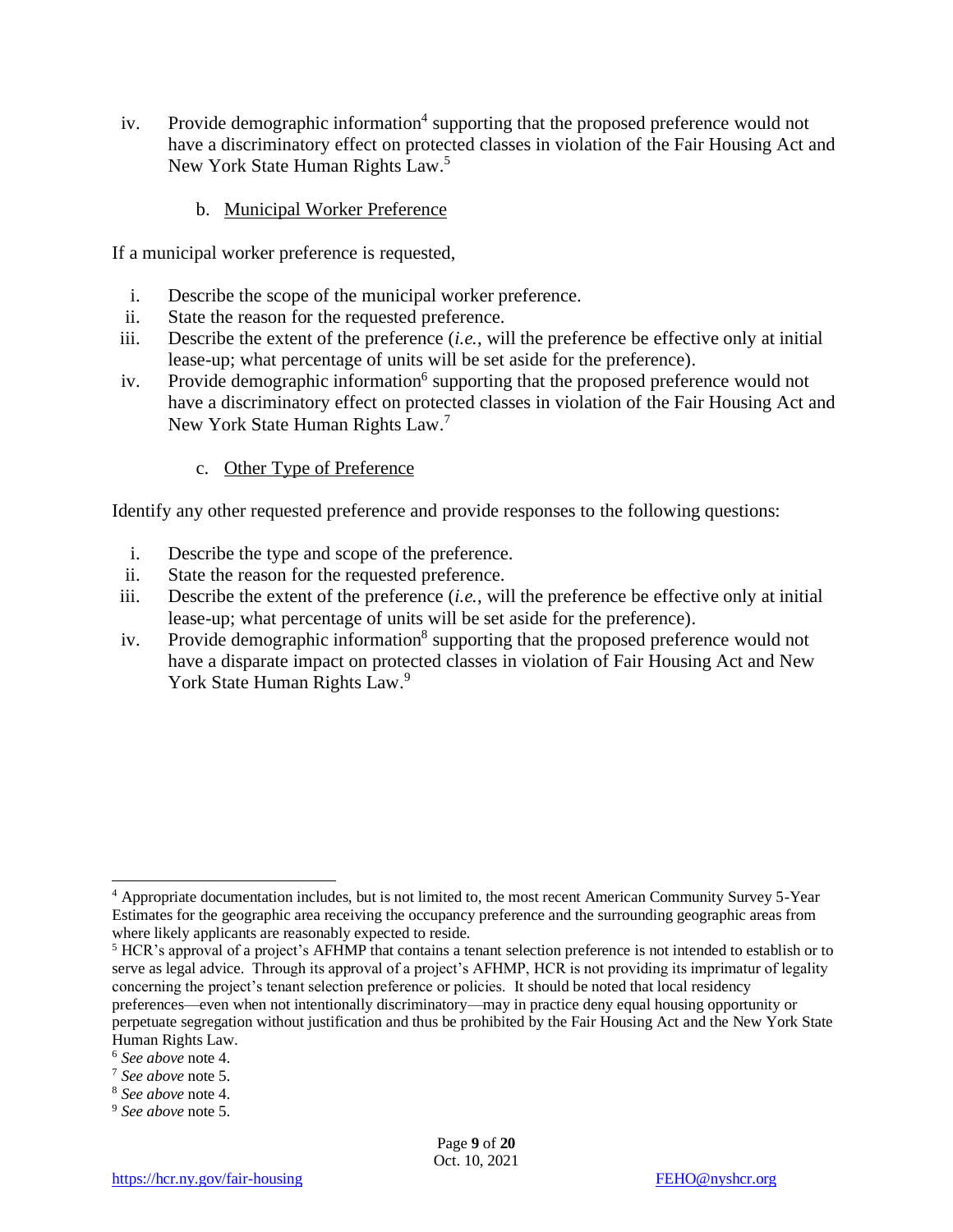- iv. Provide demographic information<sup>4</sup> supporting that the proposed preference would not have a discriminatory effect on protected classes in violation of the Fair Housing Act and New York State Human Rights Law.<sup>5</sup>
	- b. Municipal Worker Preference

If a municipal worker preference is requested,

- i. Describe the scope of the municipal worker preference.
- ii. State the reason for the requested preference.
- iii. Describe the extent of the preference (*i.e.*, will the preference be effective only at initial lease-up; what percentage of units will be set aside for the preference).
- iv. Provide demographic information<sup>6</sup> supporting that the proposed preference would not have a discriminatory effect on protected classes in violation of the Fair Housing Act and New York State Human Rights Law.<sup>7</sup>
	- c. Other Type of Preference

Identify any other requested preference and provide responses to the following questions:

- i. Describe the type and scope of the preference.
- ii. State the reason for the requested preference.
- iii. Describe the extent of the preference (*i.e.*, will the preference be effective only at initial lease-up; what percentage of units will be set aside for the preference).
- iv. Provide demographic information<sup>8</sup> supporting that the proposed preference would not have a disparate impact on protected classes in violation of Fair Housing Act and New York State Human Rights Law.<sup>9</sup>

<sup>5</sup> HCR's approval of a project's AFHMP that contains a tenant selection preference is not intended to establish or to serve as legal advice. Through its approval of a project's AFHMP, HCR is not providing its imprimatur of legality concerning the project's tenant selection preference or policies. It should be noted that local residency preferences—even when not intentionally discriminatory—may in practice deny equal housing opportunity or

Page **9** of **20** Oct. 10, 2021

<sup>4</sup> Appropriate documentation includes, but is not limited to, the most recent American Community Survey 5-Year Estimates for the geographic area receiving the occupancy preference and the surrounding geographic areas from where likely applicants are reasonably expected to reside.

perpetuate segregation without justification and thus be prohibited by the Fair Housing Act and the New York State Human Rights Law.

<sup>6</sup> *See above* note 4.

<sup>7</sup> *See above* note 5.

<sup>8</sup> *See above* note 4.

<sup>9</sup> *See above* note 5.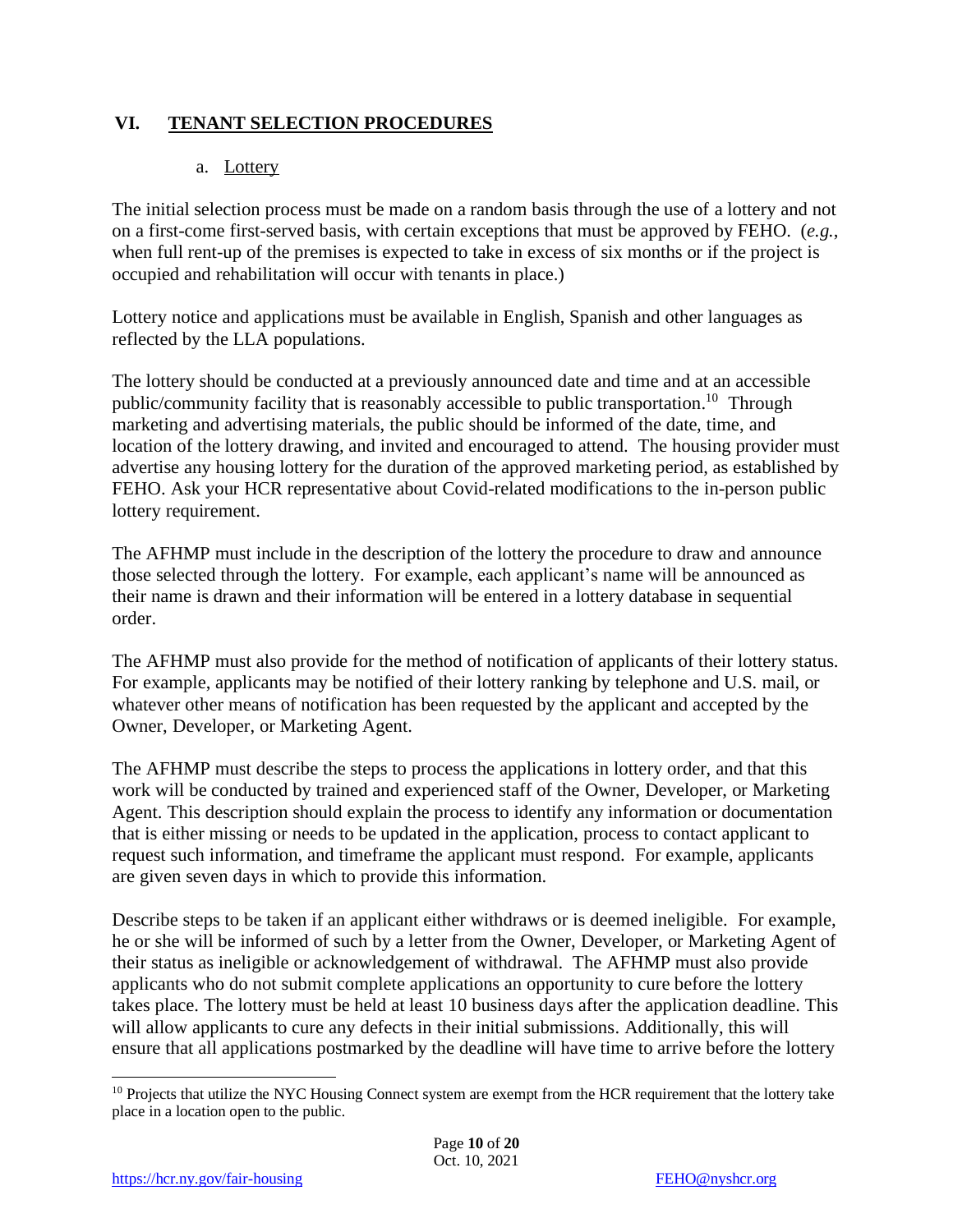#### **VI. TENANT SELECTION PROCEDURES**

#### a. Lottery

The initial selection process must be made on a random basis through the use of a lottery and not on a first-come first-served basis, with certain exceptions that must be approved by FEHO. (*e.g.*, when full rent-up of the premises is expected to take in excess of six months or if the project is occupied and rehabilitation will occur with tenants in place.)

Lottery notice and applications must be available in English, Spanish and other languages as reflected by the LLA populations.

The lottery should be conducted at a previously announced date and time and at an accessible public/community facility that is reasonably accessible to public transportation.<sup>10</sup> Through marketing and advertising materials, the public should be informed of the date, time, and location of the lottery drawing, and invited and encouraged to attend. The housing provider must advertise any housing lottery for the duration of the approved marketing period, as established by FEHO. Ask your HCR representative about Covid-related modifications to the in-person public lottery requirement.

The AFHMP must include in the description of the lottery the procedure to draw and announce those selected through the lottery. For example, each applicant's name will be announced as their name is drawn and their information will be entered in a lottery database in sequential order.

The AFHMP must also provide for the method of notification of applicants of their lottery status. For example, applicants may be notified of their lottery ranking by telephone and U.S. mail, or whatever other means of notification has been requested by the applicant and accepted by the Owner, Developer, or Marketing Agent.

The AFHMP must describe the steps to process the applications in lottery order, and that this work will be conducted by trained and experienced staff of the Owner, Developer, or Marketing Agent. This description should explain the process to identify any information or documentation that is either missing or needs to be updated in the application, process to contact applicant to request such information, and timeframe the applicant must respond. For example, applicants are given seven days in which to provide this information.

Describe steps to be taken if an applicant either withdraws or is deemed ineligible. For example, he or she will be informed of such by a letter from the Owner, Developer, or Marketing Agent of their status as ineligible or acknowledgement of withdrawal. The AFHMP must also provide applicants who do not submit complete applications an opportunity to cure before the lottery takes place. The lottery must be held at least 10 business days after the application deadline. This will allow applicants to cure any defects in their initial submissions. Additionally, this will ensure that all applications postmarked by the deadline will have time to arrive before the lottery

<sup>&</sup>lt;sup>10</sup> Projects that utilize the NYC Housing Connect system are exempt from the HCR requirement that the lottery take place in a location open to the public.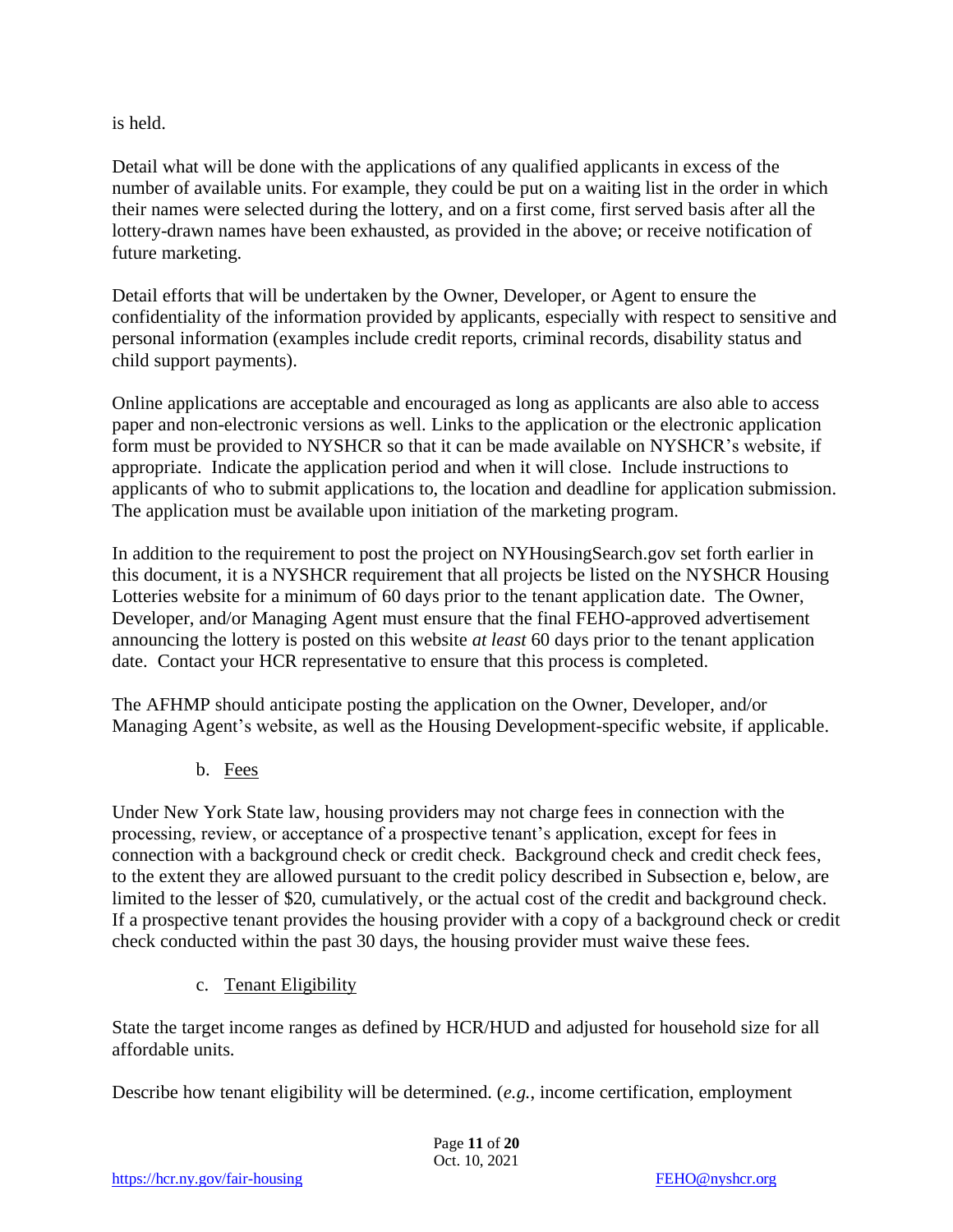is held.

Detail what will be done with the applications of any qualified applicants in excess of the number of available units. For example, they could be put on a waiting list in the order in which their names were selected during the lottery, and on a first come, first served basis after all the lottery-drawn names have been exhausted, as provided in the above; or receive notification of future marketing.

Detail efforts that will be undertaken by the Owner, Developer, or Agent to ensure the confidentiality of the information provided by applicants, especially with respect to sensitive and personal information (examples include credit reports, criminal records, disability status and child support payments).

Online applications are acceptable and encouraged as long as applicants are also able to access paper and non-electronic versions as well. Links to the application or the electronic application form must be provided to NYSHCR so that it can be made available on NYSHCR's website, if appropriate. Indicate the application period and when it will close. Include instructions to applicants of who to submit applications to, the location and deadline for application submission. The application must be available upon initiation of the marketing program.

In addition to the requirement to post the project on NYHousingSearch.gov set forth earlier in this document, it is a NYSHCR requirement that all projects be listed on the NYSHCR Housing Lotteries website for a minimum of 60 days prior to the tenant application date. The Owner, Developer, and/or Managing Agent must ensure that the final FEHO-approved advertisement announcing the lottery is posted on this website *at least* 60 days prior to the tenant application date. Contact your HCR representative to ensure that this process is completed.

The AFHMP should anticipate posting the application on the Owner, Developer, and/or Managing Agent's website, as well as the Housing Development-specific website, if applicable.

b. Fees

Under New York State law, housing providers may not charge fees in connection with the processing, review, or acceptance of a prospective tenant's application, except for fees in connection with a background check or credit check. Background check and credit check fees, to the extent they are allowed pursuant to the credit policy described in Subsection e, below, are limited to the lesser of \$20, cumulatively, or the actual cost of the credit and background check. If a prospective tenant provides the housing provider with a copy of a background check or credit check conducted within the past 30 days, the housing provider must waive these fees.

c. Tenant Eligibility

State the target income ranges as defined by HCR/HUD and adjusted for household size for all affordable units.

Describe how tenant eligibility will be determined. (*e.g.*, income certification, employment

Page **11** of **20** Oct. 10, 2021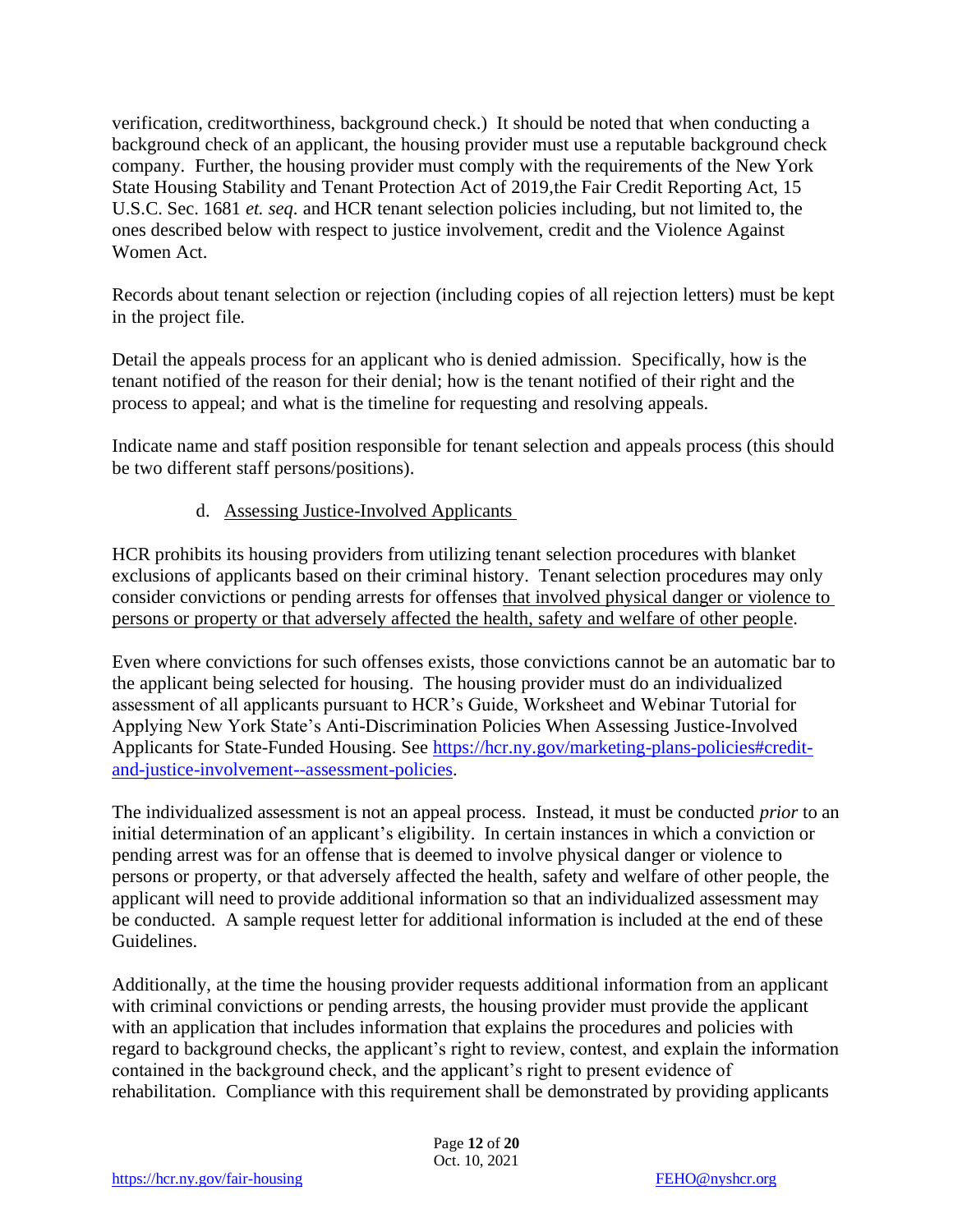verification, creditworthiness, background check.) It should be noted that when conducting a background check of an applicant, the housing provider must use a reputable background check company. Further, the housing provider must comply with the requirements of the New York State Housing Stability and Tenant Protection Act of 2019,the Fair Credit Reporting Act, 15 U.S.C. Sec. 1681 *et. seq*. and HCR tenant selection policies including, but not limited to, the ones described below with respect to justice involvement, credit and the Violence Against Women Act.

Records about tenant selection or rejection (including copies of all rejection letters) must be kept in the project file.

Detail the appeals process for an applicant who is denied admission. Specifically, how is the tenant notified of the reason for their denial; how is the tenant notified of their right and the process to appeal; and what is the timeline for requesting and resolving appeals.

Indicate name and staff position responsible for tenant selection and appeals process (this should be two different staff persons/positions).

#### d. Assessing Justice-Involved Applicants

HCR prohibits its housing providers from utilizing tenant selection procedures with blanket exclusions of applicants based on their criminal history. Tenant selection procedures may only consider convictions or pending arrests for offenses that involved physical danger or violence to persons or property or that adversely affected the health, safety and welfare of other people.

Even where convictions for such offenses exists, those convictions cannot be an automatic bar to the applicant being selected for housing. The housing provider must do an individualized assessment of all applicants pursuant to HCR's Guide, Worksheet and Webinar Tutorial for Applying New York State's Anti-Discrimination Policies When Assessing Justice-Involved Applicants for State-Funded Housing. See [https://hcr.ny.gov/marketing-plans-policies#credit](https://hcr.ny.gov/marketing-plans-policies#credit-and-justice-involvement--assessment-policies)[and-justice-involvement--assessment-policies.](https://hcr.ny.gov/marketing-plans-policies#credit-and-justice-involvement--assessment-policies)

The individualized assessment is not an appeal process. Instead, it must be conducted *prior* to an initial determination of an applicant's eligibility. In certain instances in which a conviction or pending arrest was for an offense that is deemed to involve physical danger or violence to persons or property, or that adversely affected the health, safety and welfare of other people, the applicant will need to provide additional information so that an individualized assessment may be conducted. A sample request letter for additional information is included at the end of these Guidelines.

Additionally, at the time the housing provider requests additional information from an applicant with criminal convictions or pending arrests, the housing provider must provide the applicant with an application that includes information that explains the procedures and policies with regard to background checks, the applicant's right to review, contest, and explain the information contained in the background check, and the applicant's right to present evidence of rehabilitation. Compliance with this requirement shall be demonstrated by providing applicants

> Page **12** of **20** Oct. 10, 2021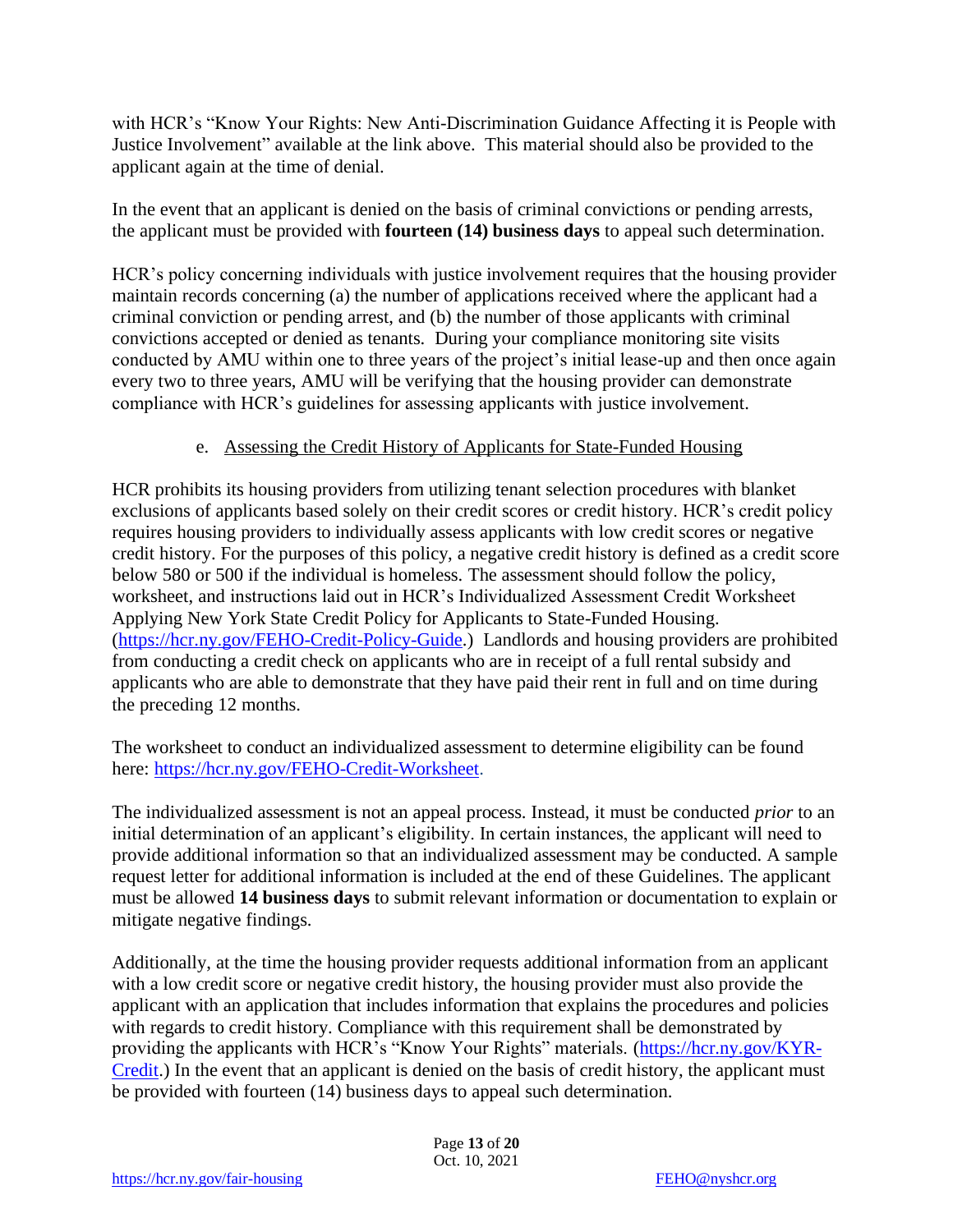with HCR's "Know Your Rights: New Anti-Discrimination Guidance Affecting it is People with Justice Involvement" available at the link above. This material should also be provided to the applicant again at the time of denial.

In the event that an applicant is denied on the basis of criminal convictions or pending arrests, the applicant must be provided with **fourteen (14) business days** to appeal such determination.

HCR's policy concerning individuals with justice involvement requires that the housing provider maintain records concerning (a) the number of applications received where the applicant had a criminal conviction or pending arrest, and (b) the number of those applicants with criminal convictions accepted or denied as tenants. During your compliance monitoring site visits conducted by AMU within one to three years of the project's initial lease-up and then once again every two to three years, AMU will be verifying that the housing provider can demonstrate compliance with HCR's guidelines for assessing applicants with justice involvement.

#### e. Assessing the Credit History of Applicants for State-Funded Housing

HCR prohibits its housing providers from utilizing tenant selection procedures with blanket exclusions of applicants based solely on their credit scores or credit history. HCR's credit policy requires housing providers to individually assess applicants with low credit scores or negative credit history. For the purposes of this policy, a negative credit history is defined as a credit score below 580 or 500 if the individual is homeless. The assessment should follow the policy, worksheet, and instructions laid out in HCR's Individualized Assessment Credit Worksheet Applying New York State Credit Policy for Applicants to State-Funded Housing. [\(https://hcr.ny.gov/FEHO-Credit-Policy-Guide.](https://hcr.ny.gov/FEHO-Credit-Policy-Guide)) Landlords and housing providers are prohibited from conducting a credit check on applicants who are in receipt of a full rental subsidy and applicants who are able to demonstrate that they have paid their rent in full and on time during the preceding 12 months.

The worksheet to conduct an individualized assessment to determine eligibility can be found here: [https://hcr.ny.gov/FEHO-Credit-Worksheet.](https://hcr.ny.gov/FEHO-Credit-Worksheet)

The individualized assessment is not an appeal process. Instead, it must be conducted *prior* to an initial determination of an applicant's eligibility. In certain instances, the applicant will need to provide additional information so that an individualized assessment may be conducted. A sample request letter for additional information is included at the end of these Guidelines. The applicant must be allowed **14 business days** to submit relevant information or documentation to explain or mitigate negative findings.

Additionally, at the time the housing provider requests additional information from an applicant with a low credit score or negative credit history, the housing provider must also provide the applicant with an application that includes information that explains the procedures and policies with regards to credit history. Compliance with this requirement shall be demonstrated by providing the applicants with HCR's "Know Your Rights" materials. [\(https://hcr.ny.gov/KYR-](https://hcr.ny.gov/KYR-Credit)[Credit.](https://hcr.ny.gov/KYR-Credit)) In the event that an applicant is denied on the basis of credit history, the applicant must be provided with fourteen (14) business days to appeal such determination.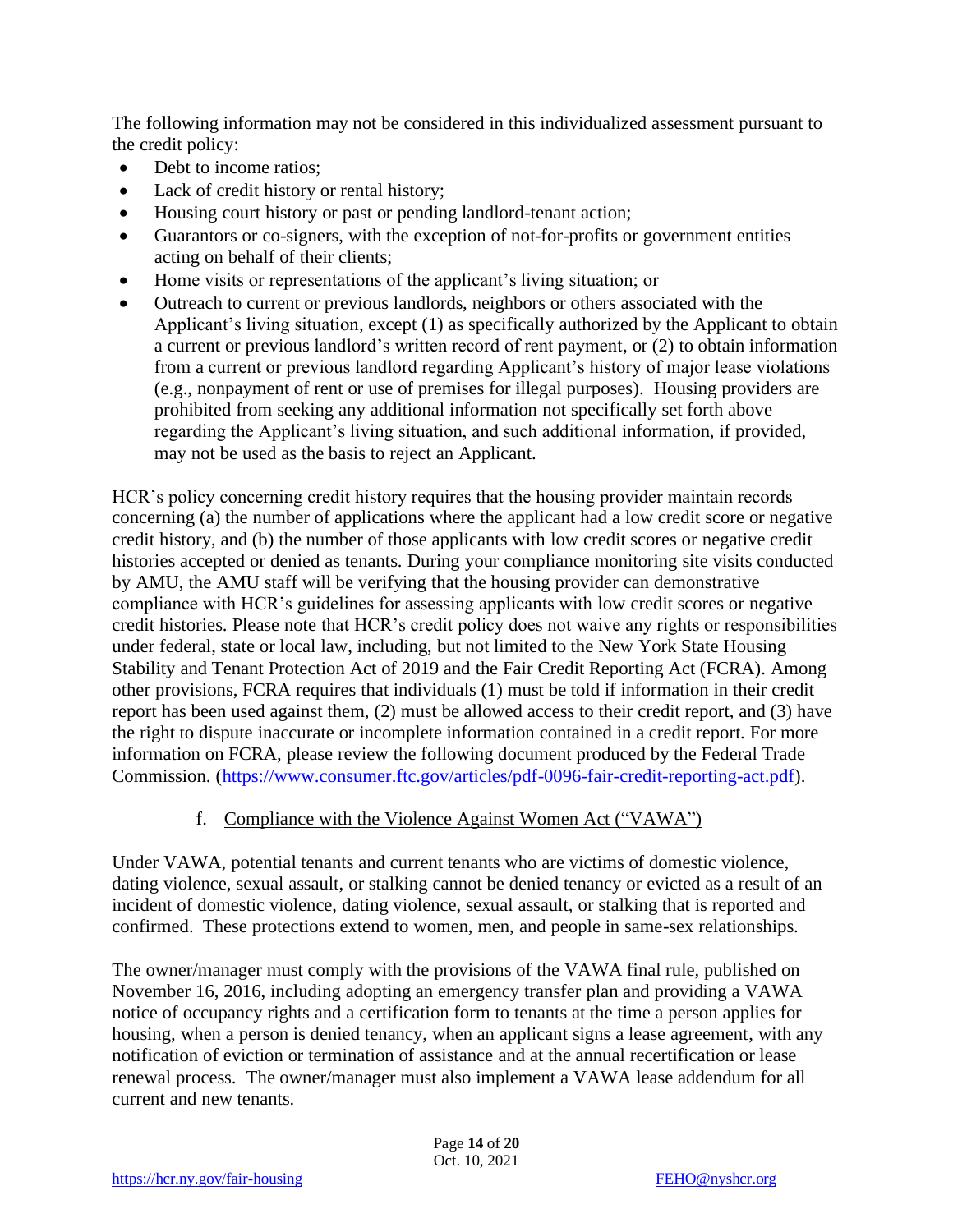The following information may not be considered in this individualized assessment pursuant to the credit policy:

- Debt to income ratios:
- Lack of credit history or rental history;
- Housing court history or past or pending landlord-tenant action;
- Guarantors or co-signers, with the exception of not-for-profits or government entities acting on behalf of their clients;
- Home visits or representations of the applicant's living situation; or
- Outreach to current or previous landlords, neighbors or others associated with the Applicant's living situation, except (1) as specifically authorized by the Applicant to obtain a current or previous landlord's written record of rent payment, or (2) to obtain information from a current or previous landlord regarding Applicant's history of major lease violations (e.g., nonpayment of rent or use of premises for illegal purposes). Housing providers are prohibited from seeking any additional information not specifically set forth above regarding the Applicant's living situation, and such additional information, if provided, may not be used as the basis to reject an Applicant.

HCR's policy concerning credit history requires that the housing provider maintain records concerning (a) the number of applications where the applicant had a low credit score or negative credit history, and (b) the number of those applicants with low credit scores or negative credit histories accepted or denied as tenants. During your compliance monitoring site visits conducted by AMU, the AMU staff will be verifying that the housing provider can demonstrative compliance with HCR's guidelines for assessing applicants with low credit scores or negative credit histories. Please note that HCR's credit policy does not waive any rights or responsibilities under federal, state or local law, including, but not limited to the New York State Housing Stability and Tenant Protection Act of 2019 and the Fair Credit Reporting Act (FCRA). Among other provisions, FCRA requires that individuals (1) must be told if information in their credit report has been used against them, (2) must be allowed access to their credit report, and (3) have the right to dispute inaccurate or incomplete information contained in a credit report. For more information on FCRA, please review the following document produced by the Federal Trade Commission. [\(https://www.consumer.ftc.gov/articles/pdf-0096-fair-credit-reporting-act.pdf\)](https://www.consumer.ftc.gov/articles/pdf-0096-fair-credit-reporting-act.pdf).

#### f. Compliance with the Violence Against Women Act ("VAWA")

Under VAWA, potential tenants and current tenants who are victims of domestic violence, dating violence, sexual assault, or stalking cannot be denied tenancy or evicted as a result of an incident of domestic violence, dating violence, sexual assault, or stalking that is reported and confirmed. These protections extend to women, men, and people in same-sex relationships.

The owner/manager must comply with the provisions of the VAWA final rule, published on November 16, 2016, including adopting an emergency transfer plan and providing a VAWA notice of occupancy rights and a certification form to tenants at the time a person applies for housing, when a person is denied tenancy, when an applicant signs a lease agreement, with any notification of eviction or termination of assistance and at the annual recertification or lease renewal process. The owner/manager must also implement a VAWA lease addendum for all current and new tenants.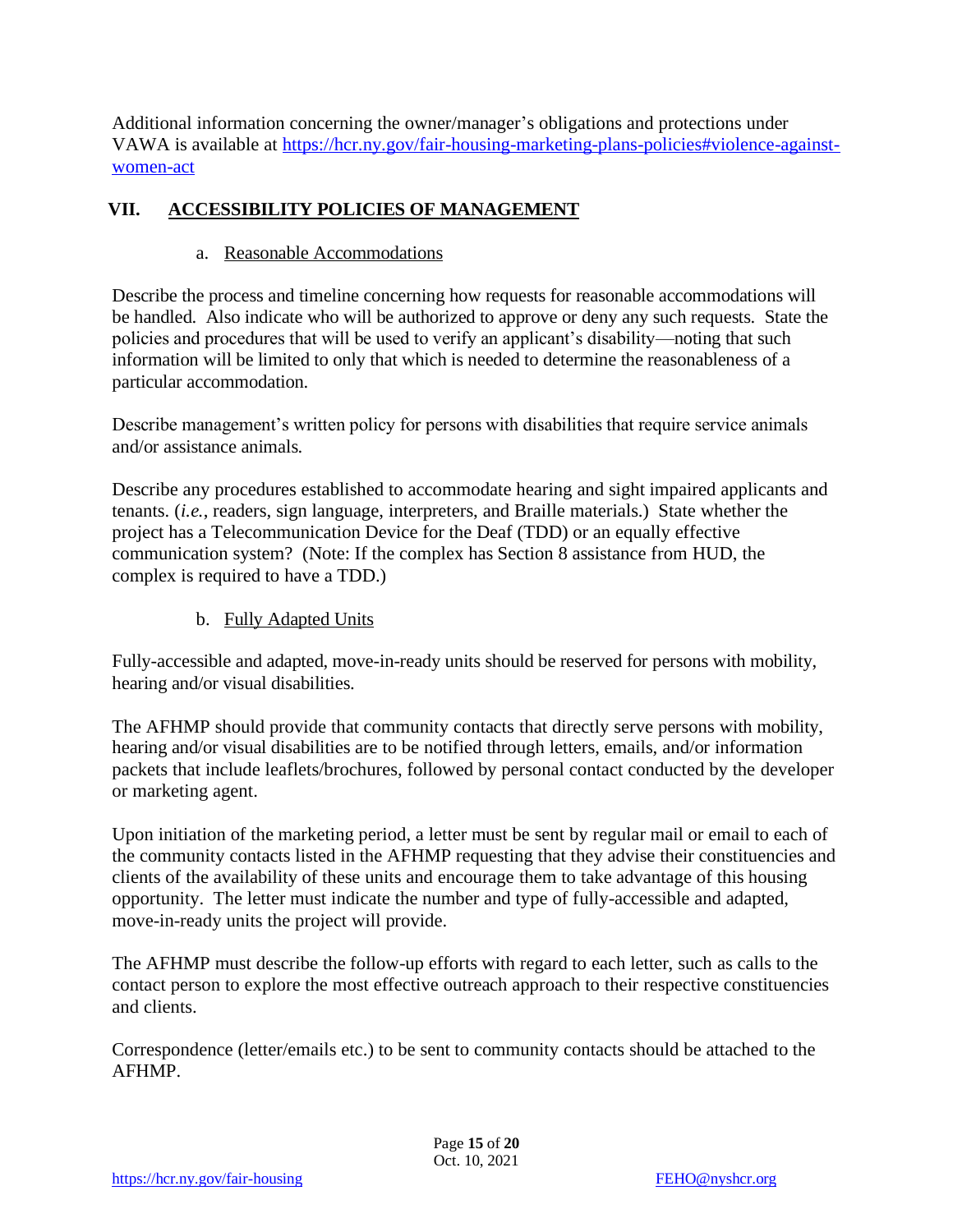Additional information concerning the owner/manager's obligations and protections under VAWA is available at [https://hcr.ny.gov/fair-housing-marketing-plans-policies#violence-against](https://hcr.ny.gov/fair-housing-marketing-plans-policies#violence-against-women-act)[women-act](https://hcr.ny.gov/fair-housing-marketing-plans-policies#violence-against-women-act)

#### **VII. ACCESSIBILITY POLICIES OF MANAGEMENT**

#### a. Reasonable Accommodations

Describe the process and timeline concerning how requests for reasonable accommodations will be handled. Also indicate who will be authorized to approve or deny any such requests. State the policies and procedures that will be used to verify an applicant's disability—noting that such information will be limited to only that which is needed to determine the reasonableness of a particular accommodation.

Describe management's written policy for persons with disabilities that require service animals and/or assistance animals.

Describe any procedures established to accommodate hearing and sight impaired applicants and tenants. (*i.e.*, readers, sign language, interpreters, and Braille materials.) State whether the project has a Telecommunication Device for the Deaf (TDD) or an equally effective communication system? (Note: If the complex has Section 8 assistance from HUD, the complex is required to have a TDD.)

b. Fully Adapted Units

Fully-accessible and adapted, move-in-ready units should be reserved for persons with mobility, hearing and/or visual disabilities.

The AFHMP should provide that community contacts that directly serve persons with mobility, hearing and/or visual disabilities are to be notified through letters, emails, and/or information packets that include leaflets/brochures, followed by personal contact conducted by the developer or marketing agent.

Upon initiation of the marketing period, a letter must be sent by regular mail or email to each of the community contacts listed in the AFHMP requesting that they advise their constituencies and clients of the availability of these units and encourage them to take advantage of this housing opportunity. The letter must indicate the number and type of fully-accessible and adapted, move-in-ready units the project will provide.

The AFHMP must describe the follow-up efforts with regard to each letter, such as calls to the contact person to explore the most effective outreach approach to their respective constituencies and clients.

Correspondence (letter/emails etc.) to be sent to community contacts should be attached to the AFHMP.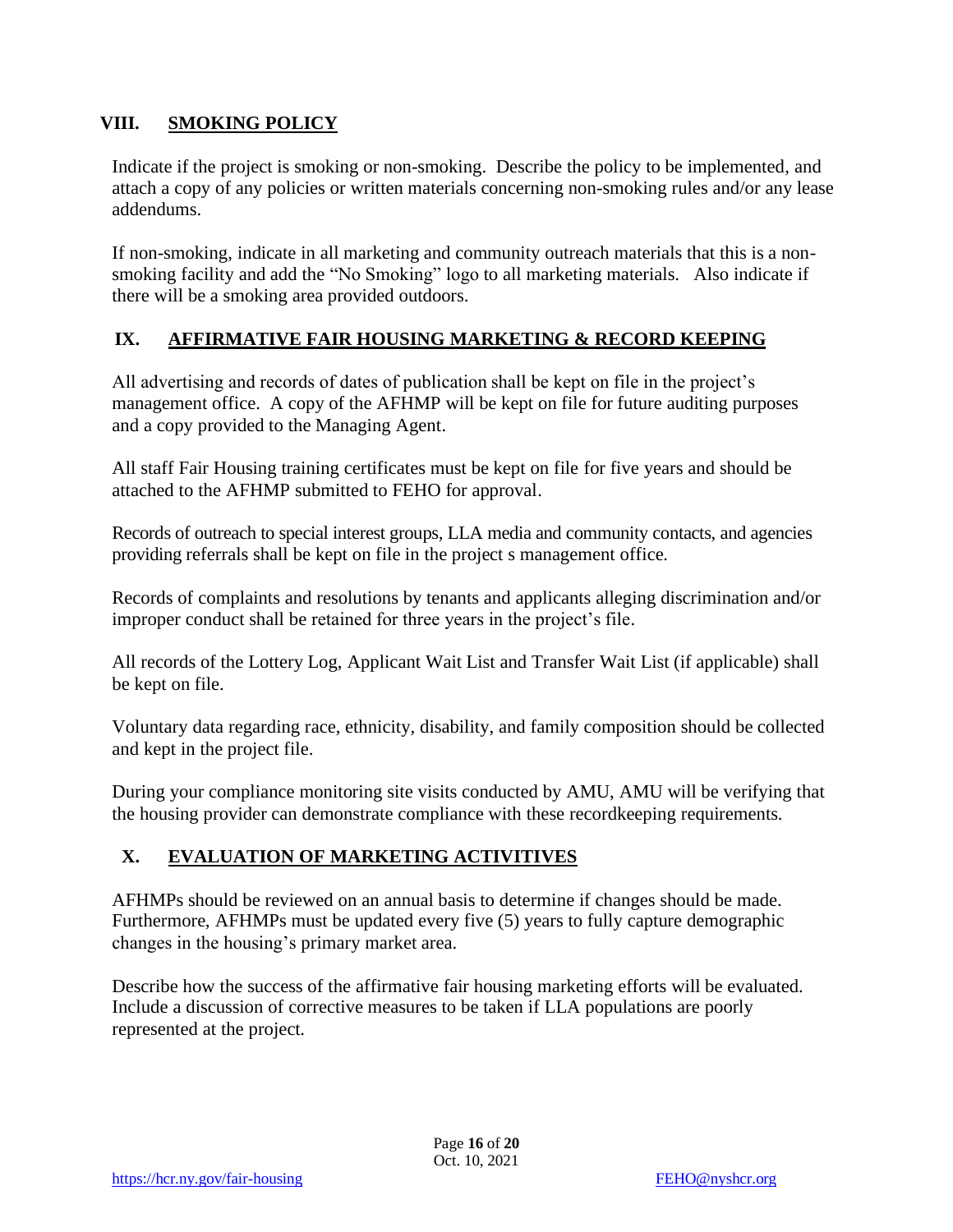#### **VIII. SMOKING POLICY**

Indicate if the project is smoking or non-smoking. Describe the policy to be implemented, and attach a copy of any policies or written materials concerning non-smoking rules and/or any lease addendums.

If non-smoking, indicate in all marketing and community outreach materials that this is a nonsmoking facility and add the "No Smoking" logo to all marketing materials. Also indicate if there will be a smoking area provided outdoors.

#### **IX. AFFIRMATIVE FAIR HOUSING MARKETING & RECORD KEEPING**

All advertising and records of dates of publication shall be kept on file in the project's management office. A copy of the AFHMP will be kept on file for future auditing purposes and a copy provided to the Managing Agent.

All staff Fair Housing training certificates must be kept on file for five years and should be attached to the AFHMP submitted to FEHO for approval.

Records of outreach to special interest groups, LLA media and community contacts, and agencies providing referrals shall be kept on file in the project s management office.

Records of complaints and resolutions by tenants and applicants alleging discrimination and/or improper conduct shall be retained for three years in the project's file.

All records of the Lottery Log, Applicant Wait List and Transfer Wait List (if applicable) shall be kept on file.

Voluntary data regarding race, ethnicity, disability, and family composition should be collected and kept in the project file.

During your compliance monitoring site visits conducted by AMU, AMU will be verifying that the housing provider can demonstrate compliance with these recordkeeping requirements.

#### **X. EVALUATION OF MARKETING ACTIVITIVES**

AFHMPs should be reviewed on an annual basis to determine if changes should be made. Furthermore, AFHMPs must be updated every five (5) years to fully capture demographic changes in the housing's primary market area.

Describe how the success of the affirmative fair housing marketing efforts will be evaluated. Include a discussion of corrective measures to be taken if LLA populations are poorly represented at the project.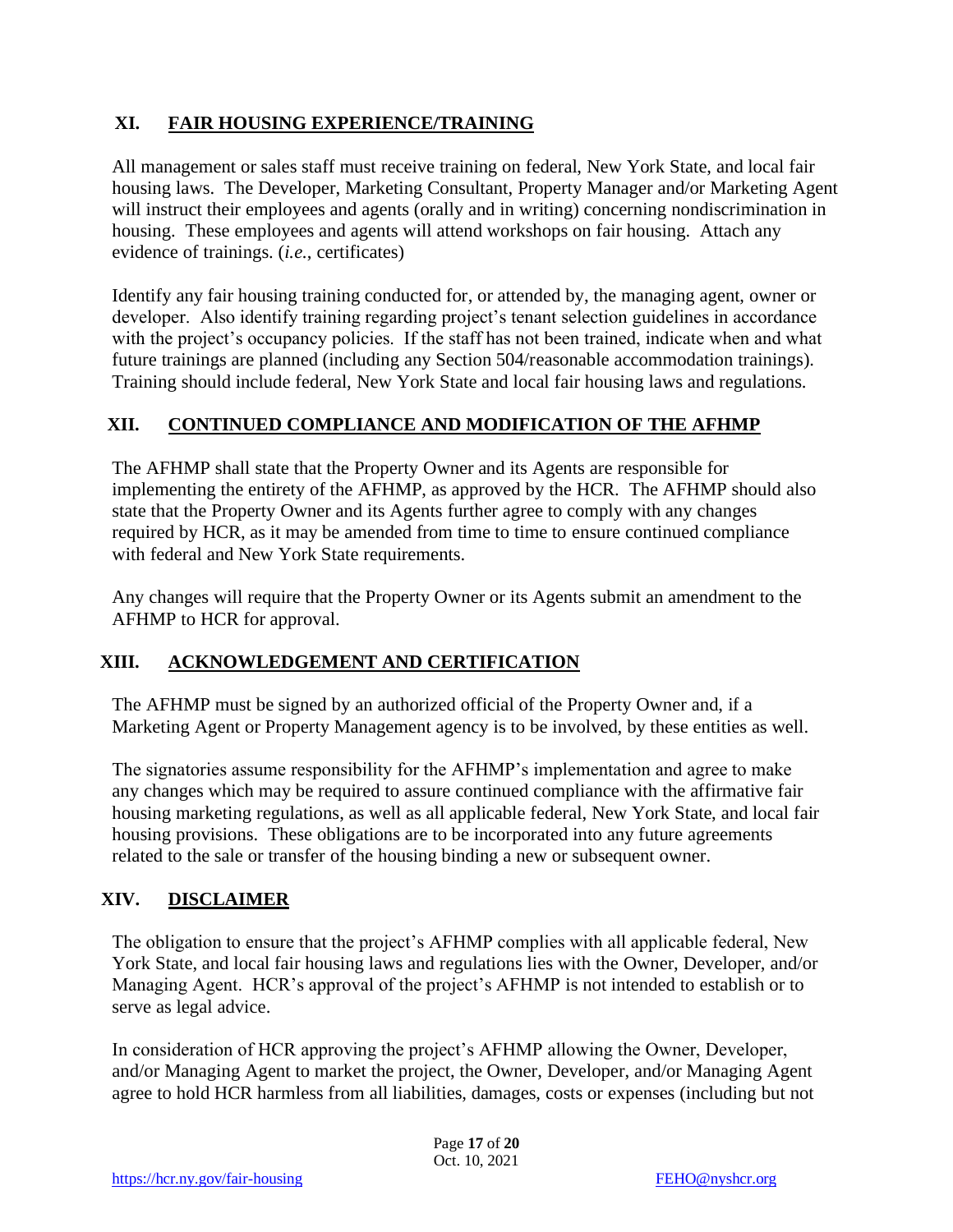#### **XI. FAIR HOUSING EXPERIENCE/TRAINING**

All management or sales staff must receive training on federal, New York State, and local fair housing laws. The Developer, Marketing Consultant, Property Manager and/or Marketing Agent will instruct their employees and agents (orally and in writing) concerning nondiscrimination in housing. These employees and agents will attend workshops on fair housing. Attach any evidence of trainings. (*i.e.*, certificates)

Identify any fair housing training conducted for, or attended by, the managing agent, owner or developer. Also identify training regarding project's tenant selection guidelines in accordance with the project's occupancy policies. If the staff has not been trained, indicate when and what future trainings are planned (including any Section 504/reasonable accommodation trainings). Training should include federal, New York State and local fair housing laws and regulations.

#### **XII. CONTINUED COMPLIANCE AND MODIFICATION OF THE AFHMP**

The AFHMP shall state that the Property Owner and its Agents are responsible for implementing the entirety of the AFHMP, as approved by the HCR. The AFHMP should also state that the Property Owner and its Agents further agree to comply with any changes required by HCR, as it may be amended from time to time to ensure continued compliance with federal and New York State requirements.

Any changes will require that the Property Owner or its Agents submit an amendment to the AFHMP to HCR for approval.

#### **XIII. ACKNOWLEDGEMENT AND CERTIFICATION**

The AFHMP must be signed by an authorized official of the Property Owner and, if a Marketing Agent or Property Management agency is to be involved, by these entities as well.

The signatories assume responsibility for the AFHMP's implementation and agree to make any changes which may be required to assure continued compliance with the affirmative fair housing marketing regulations, as well as all applicable federal, New York State, and local fair housing provisions. These obligations are to be incorporated into any future agreements related to the sale or transfer of the housing binding a new or subsequent owner.

#### **XIV. DISCLAIMER**

The obligation to ensure that the project's AFHMP complies with all applicable federal, New York State, and local fair housing laws and regulations lies with the Owner, Developer, and/or Managing Agent. HCR's approval of the project's AFHMP is not intended to establish or to serve as legal advice.

In consideration of HCR approving the project's AFHMP allowing the Owner, Developer, and/or Managing Agent to market the project, the Owner, Developer, and/or Managing Agent agree to hold HCR harmless from all liabilities, damages, costs or expenses (including but not

> Page **17** of **20** Oct. 10, 2021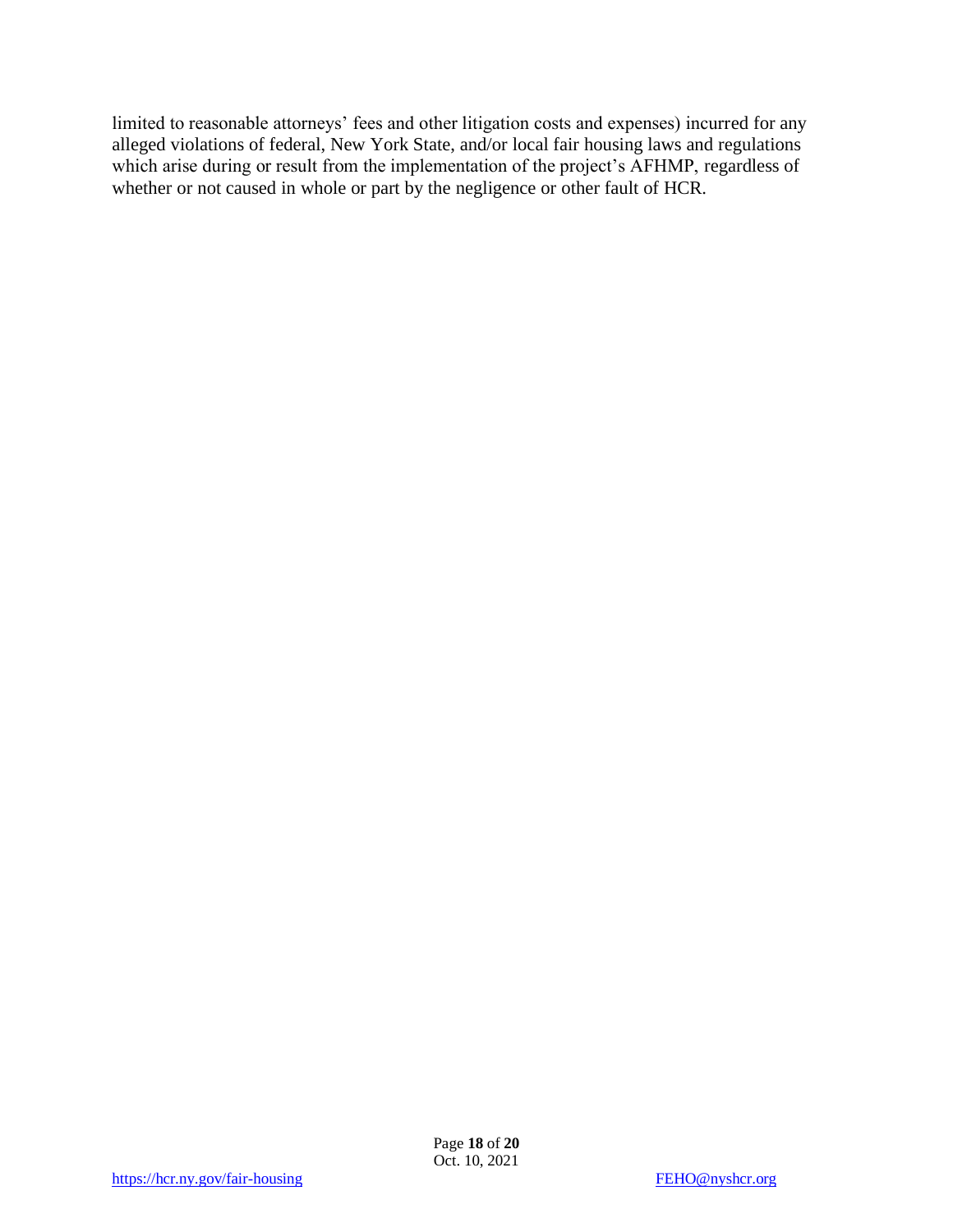limited to reasonable attorneys' fees and other litigation costs and expenses) incurred for any alleged violations of federal, New York State, and/or local fair housing laws and regulations which arise during or result from the implementation of the project's AFHMP, regardless of whether or not caused in whole or part by the negligence or other fault of HCR.

Page **18** of **20** Oct. 10, 2021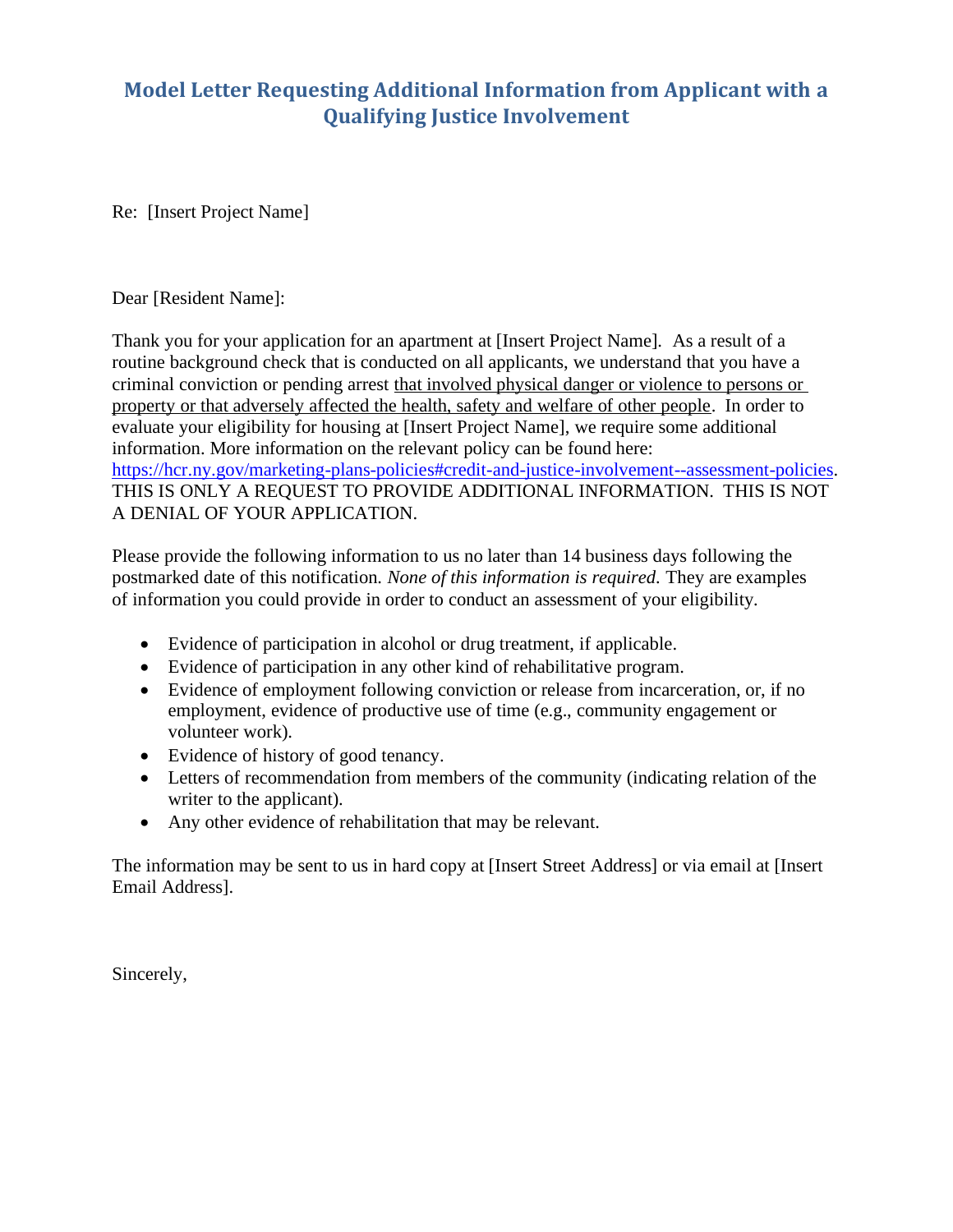# <span id="page-18-0"></span>**Model Letter Requesting Additional Information from Applicant with a Qualifying Justice Involvement**

Re: [Insert Project Name]

#### Dear [Resident Name]:

Thank you for your application for an apartment at [Insert Project Name]. As a result of a routine background check that is conducted on all applicants, we understand that you have a criminal conviction or pending arrest that involved physical danger or violence to persons or property or that adversely affected the health, safety and welfare of other people. In order to evaluate your eligibility for housing at [Insert Project Name], we require some additional information. More information on the relevant policy can be found here: [https://hcr.ny.gov/marketing-plans-policies#credit-and-justice-involvement--assessment-policies.](https://hcr.ny.gov/marketing-plans-policies#credit-and-justice-involvement--assessment-policies) THIS IS ONLY A REQUEST TO PROVIDE ADDITIONAL INFORMATION. THIS IS NOT A DENIAL OF YOUR APPLICATION.

Please provide the following information to us no later than 14 business days following the postmarked date of this notification. *None of this information is required.* They are examples of information you could provide in order to conduct an assessment of your eligibility*.*

- Evidence of participation in alcohol or drug treatment, if applicable.
- Evidence of participation in any other kind of rehabilitative program.
- Evidence of employment following conviction or release from incarceration, or, if no employment, evidence of productive use of time (e.g., community engagement or volunteer work).
- Evidence of history of good tenancy.
- Letters of recommendation from members of the community (indicating relation of the writer to the applicant).
- Any other evidence of rehabilitation that may be relevant.

The information may be sent to us in hard copy at [Insert Street Address] or via email at [Insert Email Address].

Sincerely,